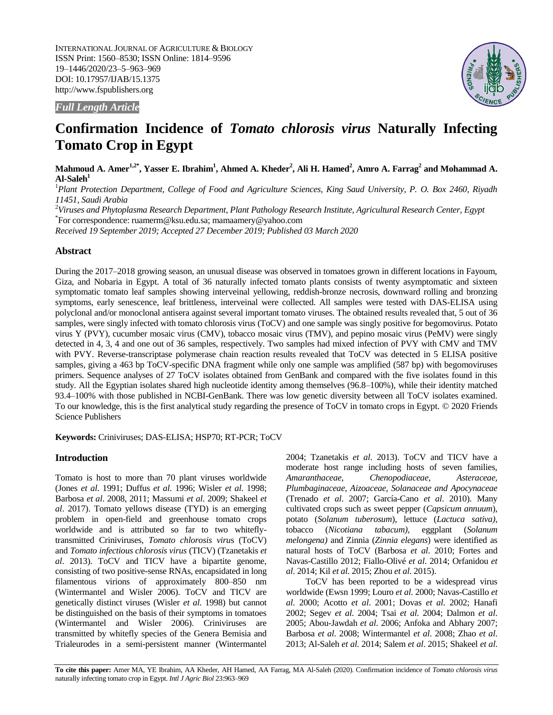INTERNATIONAL JOURNAL OF AGRICULTURE & BIOLOGY ISSN Print: 1560–8530; ISSN Online: 1814–9596 19–1446/2020/23–5–963–969 DOI: 10.17957/IJAB/15.1375 http://www.fspublishers.org



*Full Length Article*

# **Confirmation Incidence of** *Tomato chlorosis virus* **Naturally Infecting Tomato Crop in Egypt**

**Mahmoud A. Amer1,2\*, Yasser E. Ibrahim<sup>1</sup> , Ahmed A. Kheder<sup>2</sup> , Ali H. Hamed<sup>2</sup> , Amro A. Farrag<sup>2</sup> and Mohammad A. Al-Saleh<sup>1</sup>**

<sup>1</sup>*Plant Protection Department, College of Food and Agriculture Sciences, King Saud University, P. O. Box 2460, Riyadh 11451, Saudi Arabia*

<sup>2</sup>*Viruses and Phytoplasma Research Department, Plant Pathology Research Institute, Agricultural Research Center, Egypt* \* For correspondence: ruamerm@ksu.edu.sa; mamaamery@yahoo.com

*Received 19 September 2019; Accepted 27 December 2019; Published 03 March 2020*

# **Abstract**

During the 2017–2018 growing season, an unusual disease was observed in tomatoes grown in different locations in Fayoum, Giza, and Nobaria in Egypt. A total of 36 naturally infected tomato plants consists of twenty asymptomatic and sixteen symptomatic tomato leaf samples showing interveinal yellowing, reddish-bronze necrosis, downward rolling and bronzing symptoms, early senescence, leaf brittleness, interveinal were collected. All samples were tested with DAS-ELISA using polyclonal and/or monoclonal antisera against several important tomato viruses. The obtained results revealed that, 5 out of 36 samples, were singly infected with tomato chlorosis virus (ToCV) and one sample was singly positive for begomovirus. Potato virus Y (PVY), cucumber mosaic virus (CMV), tobacco mosaic virus (TMV), and pepino mosaic virus (PeMV) were singly detected in 4, 3, 4 and one out of 36 samples, respectively. Two samples had mixed infection of PVY with CMV and TMV with PVY. Reverse-transcriptase polymerase chain reaction results revealed that ToCV was detected in 5 ELISA positive samples, giving a 463 bp ToCV-specific DNA fragment while only one sample was amplified (587 bp) with begomoviruses primers. Sequence analyses of 27 ToCV isolates obtained from GenBank and compared with the five isolates found in this study. All the Egyptian isolates shared high nucleotide identity among themselves (96.8–100%), while their identity matched 93.4–100% with those published in NCBI-GenBank. There was low genetic diversity between all ToCV isolates examined. To our knowledge, this is the first analytical study regarding the presence of ToCV in tomato crops in Egypt. © 2020 Friends Science Publishers

**Keywords:** Criniviruses; DAS-ELISA; HSP70; RT-PCR; ToCV

# **Introduction**

Tomato is host to more than 70 plant viruses worldwide (Jones *et al*. 1991; Duffus *et al*. 1996; Wisler *et al*. 1998; Barbosa *et al*. 2008, 2011; Massumi *et al*. 2009; Shakeel *et al*. 2017). Tomato yellows disease (TYD) is an emerging problem in open-field and greenhouse tomato crops worldwide and is attributed so far to two whiteflytransmitted Criniviruses, *Tomato chlorosis viru*s (ToCV) and *Tomato infectious chlorosis virus* (TICV) (Tzanetakis *et al*. 2013). ToCV and TICV have a bipartite genome, consisting of two positive-sense RNAs, encapsidated in long filamentous virions of approximately 800–850 nm (Wintermantel and Wisler 2006). ToCV and TICV are genetically distinct viruses (Wisler *et al*. 1998) but cannot be distinguished on the basis of their symptoms in tomatoes (Wintermantel and Wisler 2006). Criniviruses are transmitted by whitefly species of the Genera Bemisia and Trialeurodes in a semi-persistent manner (Wintermantel 2004; Tzanetakis *et al*. 2013). ToCV and TICV have a moderate host range including hosts of seven families, *Amaranthaceae, Chenopodiaceae, Asteraceae, Plumbaginaceae, Aizoaceae, Solanaceae and Apocynaceae* (Trenado *et al*. 2007; García-Cano *et al*. 2010). Many cultivated crops such as sweet pepper (*Capsicum annuum*), potato (*Solanum tuberosum*), lettuce (*Lactuca sativa)*, tobacco (*Nicotiana tabacum),* eggplant (*Solanum melongena)* and Zinnia (*Zinnia elegans*) were identified as natural hosts of ToCV (Barbosa *et al*. 2010; Fortes and Navas-Castillo 2012; Fiallo-Olivé *et al*. 2014; Orfanidou *et al*. 2014; Kil *et al*. 2015; Zhou *et al*. 2015).

ToCV has been reported to be a widespread virus worldwide (Ewsn 1999; Louro *et al*. 2000; Navas-Castillo *et al*. 2000; Acotto *et al*. 2001; Dovas *et al*. 2002; Hanafi 2002; Segev *et al*. 2004; Tsai *et al*. 2004; Dalmon *et al*. 2005; Abou-Jawdah *et al*. 2006; Anfoka and Abhary 2007; Barbosa *et al*. 2008; Wintermantel *et al*. 2008; Zhao *et al*. 2013; Al-Saleh *et al*. 2014; Salem *et al*. 2015; Shakeel *et al*.

**To cite this paper:** Amer MA, YE Ibrahim, AA Kheder, AH Hamed, AA Farrag, MA Al-Saleh (2020). Confirmation incidence of *Tomato chlorosis virus* naturally infecting tomato crop in Egypt. *Intl J Agric Biol* 23:963-969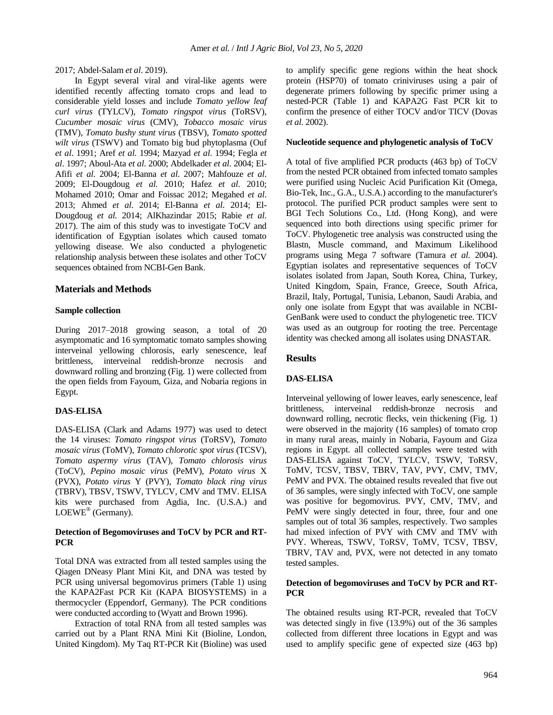2017; Abdel-Salam *et al*. 2019).

In Egypt several viral and viral-like agents were identified recently affecting tomato crops and lead to considerable yield losses and include *Tomato yellow leaf curl virus* (TYLCV), *Tomato ringspot virus* (ToRSV), *Cucumber mosaic virus* (CMV), *Tobacco mosaic virus* (TMV), *Tomato bushy stunt virus* (TBSV), *Tomato spotted wilt virus* (TSWV) and Tomato big bud phytoplasma (Ouf *et al*. 1991; Aref *et al*. 1994; Mazyad *et al*. 1994; Fegla *et al*. 1997; Aboul-Ata *et al*. 2000; Abdelkader *et al*. 2004; El-Afifi *et al*. 2004; El-Banna *et al*. 2007; Mahfouze *et al*. 2009; El-Dougdoug *et al.* 2010; Hafez *et al*. 2010; Mohamed 2010; Omar and Foissac 2012; Megahed *et al*. 2013; Ahmed *et al*. 2014; El-Banna *et al*. 2014; El-Dougdoug *et al.* 2014; AlKhazindar 2015; Rabie *et al*. 2017). The aim of this study was to investigate ToCV and identification of Egyptian isolates which caused tomato yellowing disease. We also conducted a phylogenetic relationship analysis between these isolates and other ToCV sequences obtained from NCBI-Gen Bank.

# **Materials and Methods**

### **Sample collection**

9 During 2017–2018 growing season, a total of 20 asymptomatic and 16 symptomatic tomato samples showing interveinal yellowing chlorosis, early senescence, leaf brittleness, interveinal reddish-bronze necrosis and downward rolling and bronzing (Fig. 1) were collected from the open fields from Fayoum, Giza, and Nobaria regions in Egypt.

## **DAS-ELISA**

DAS-ELISA (Clark and Adams 1977) was used to detect the 14 viruses: *Tomato ringspot virus* (ToRSV), *Tomato mosaic virus* (ToMV), *Tomato chlorotic spot virus* (TCSV), *Tomato aspermy virus* (TAV), *Tomato chlorosis virus*  (ToCV), *Pepino mosaic virus* (PeMV), *Potato virus* X (PVX), *Potato virus* Y (PVY), *Tomato black ring virus* (TBRV), TBSV, TSWV, TYLCV, CMV and TMV. ELISA kits were purchased from Agdia, Inc. (U.S.A.) and LOEWE<sup>®</sup> (Germany).

# **Detection of Begomoviruses and ToCV by PCR and RT-PCR**

Total DNA was extracted from all tested samples using the Qiagen DNeasy Plant Mini Kit, and DNA was tested by PCR using universal begomovirus primers (Table 1) using the KAPA2Fast PCR Kit (KAPA BIOSYSTEMS) in a thermocycler (Eppendorf, Germany). The PCR conditions were conducted according to (Wyatt and Brown 1996).

Extraction of total RNA from all tested samples was carried out by a Plant RNA Mini Kit (Bioline, London, United Kingdom). My Taq RT-PCR Kit (Bioline) was used to amplify specific gene regions within the heat shock protein (HSP70) of tomato criniviruses using a pair of degenerate primers following by specific primer using a nested-PCR (Table 1) and KAPA2G Fast PCR kit to confirm the presence of either TOCV and/or TICV (Dovas *et al*. 2002).

#### **Nucleotide sequence and phylogenetic analysis of ToCV**

A total of five amplified PCR products (463 bp) of ToCV from the nested PCR obtained from infected tomato samples were purified using Nucleic Acid Purification Kit (Omega, Bio-Tek, Inc., G.A., U.S.A.) according to the manufacturer's protocol. The purified PCR product samples were sent to BGI Tech Solutions Co., Ltd. (Hong Kong), and were sequenced into both directions using specific primer for ToCV. Phylogenetic tree analysis was constructed using the Blastn, Muscle command, and Maximum Likelihood programs using Mega 7 software (Tamura *et al.* 2004). Egyptian isolates and representative sequences of ToCV isolates isolated from Japan, South Korea, China, Turkey, United Kingdom, Spain, France, Greece, South Africa, Brazil, Italy, Portugal, Tunisia, Lebanon, Saudi Arabia, and only one isolate from Egypt that was available in NCBI-GenBank were used to conduct the phylogenetic tree. TICV was used as an outgroup for rooting the tree. Percentage identity was checked among all isolates using DNASTAR.

## **Results**

## **DAS-ELISA**

Interveinal yellowing of lower leaves, early senescence, leaf brittleness, interveinal reddish-bronze necrosis and downward rolling, necrotic flecks, vein thickening (Fig. 1) were observed in the majority (16 samples) of tomato crop in many rural areas, mainly in Nobaria, Fayoum and Giza regions in Egypt. all collected samples were tested with DAS-ELISA against ToCV, TYLCV, TSWV, ToRSV, ToMV, TCSV, TBSV, TBRV, TAV, PVY, CMV, TMV, PeMV and PVX. The obtained results revealed that five out of 36 samples, were singly infected with ToCV, one sample was positive for begomovirus. PVY, CMV, TMV, and PeMV were singly detected in four, three, four and one samples out of total 36 samples, respectively. Two samples had mixed infection of PVY with CMV and TMV with PVY. Whereas, TSWV, ToRSV, ToMV, TCSV, TBSV, TBRV, TAV and, PVX, were not detected in any tomato tested samples.

# **Detection of begomoviruses and ToCV by PCR and RT-PCR**

The obtained results using RT-PCR, revealed that ToCV was detected singly in five (13.9%) out of the 36 samples collected from different three locations in Egypt and was used to amplify specific gene of expected size (463 bp)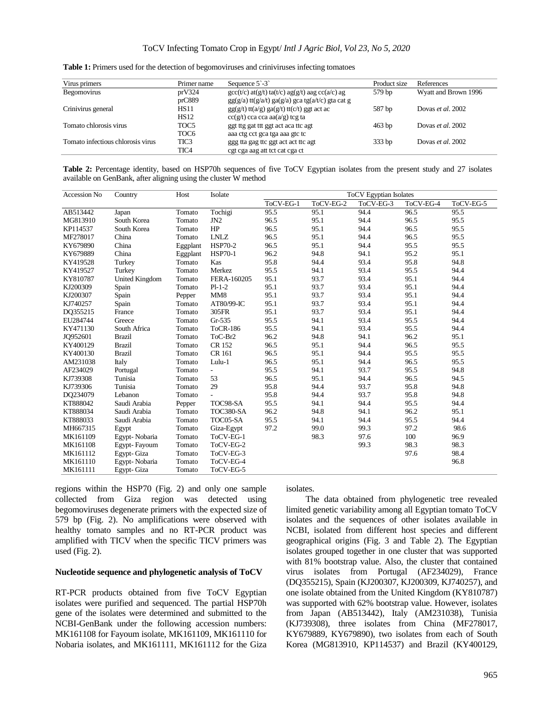| Virus primers                     | Primer name      | Sequence $5^{\degree}$ -3 <sup><math>\degree</math></sup>                                                 | Product size | References           |
|-----------------------------------|------------------|-----------------------------------------------------------------------------------------------------------|--------------|----------------------|
| <b>Begomovirus</b>                | prV324           | $\frac{c}{c}(t/c)$ at $\frac{g}{t}$ ta $\frac{f}{c}(t)c$ ag $\frac{g}{c}(t)$ aag cc $\frac{a}{c}(a/c)$ ag | 579 bp       | Wyatt and Brown 1996 |
|                                   | prC889           | $gg(g/a)$ tt(g/a/t) ga(g/a) gca tg(a/t/c) gta cat g                                                       |              |                      |
| Crinivirus general                | <b>HS11</b>      | $gg(g/t)$ tt( $a/g$ ) $ga(g/t)$ tt( $c/t$ ) ggt act ac                                                    | 587 bp       | Dovas et al. 2002    |
|                                   | <b>HS12</b>      | $cc(g/t)$ cca cca aa(a/g) tcg ta                                                                          |              |                      |
| Tomato chlorosis virus            | TOC <sub>5</sub> | ggt ttg gat ttt ggt act aca ttc agt                                                                       | $463$ bp     | Dovas et al. 2002    |
|                                   | TOC <sub>6</sub> | aaa ctg cct gca tga aaa gtc tc                                                                            |              |                      |
| Tomato infectious chlorosis virus | TIC3             | ggg tta gag ttc ggt act act ttc agt                                                                       | 333bp        | Dovas et al. 2002    |
|                                   | TIC <sub>4</sub> | cgt cga aag att tot cat cga ct                                                                            |              |                      |

**Table 1:** Primers used for the detection of begomoviruses and criniviruses infecting tomatoes

| Table 2: Percentage identity, based on HSP70h sequences of five ToCV Egyptian isolates from the present study and 27 isolates |  |  |  |  |  |  |  |  |
|-------------------------------------------------------------------------------------------------------------------------------|--|--|--|--|--|--|--|--|
| available on GenBank, after aligning using the cluster W method                                                               |  |  |  |  |  |  |  |  |

| Accession No | Country        | Host     | Isolate         | <b>ToCV</b> Egyptian Isolates |      |           |             |           |  |  |  |
|--------------|----------------|----------|-----------------|-------------------------------|------|-----------|-------------|-----------|--|--|--|
|              |                |          |                 | ToCV-EG-2<br>ToCV-EG-1        |      | ToCV-EG-3 | $ToCV-EG-4$ | ToCV-EG-5 |  |  |  |
| AB513442     | Japan          | Tomato   | Tochigi         | 95.5                          | 95.1 | 94.4      | 96.5        | 95.5      |  |  |  |
| MG813910     | South Korea    | Tomato   | JN <sub>2</sub> | 96.5                          | 95.1 | 94.4      | 96.5        | 95.5      |  |  |  |
| KP114537     | South Korea    | Tomato   | HP              | 96.5                          | 95.1 | 94.4      | 96.5        | 95.5      |  |  |  |
| MF278017     | China          | Tomato   | <b>LNLZ</b>     | 96.5                          | 95.1 | 94.4      | 96.5        | 95.5      |  |  |  |
| KY679890     | China          | Eggplant | <b>HSP70-2</b>  | 96.5                          | 95.1 | 94.4      | 95.5        | 95.5      |  |  |  |
| KY679889     | China          | Eggplant | <b>HSP70-1</b>  | 96.2                          | 94.8 | 94.1      | 95.2        | 95.1      |  |  |  |
| KY419528     | Turkey         | Tomato   | Kas             | 95.8                          | 94.4 | 93.4      | 95.8        | 94.8      |  |  |  |
| KY419527     | Turkey         | Tomato   | Merkez          | 95.5                          | 94.1 | 93.4      | 95.5        | 94.4      |  |  |  |
| KY810787     | United Kingdom | Tomato   | FERA-160205     | 95.1                          | 93.7 | 93.4      | 95.1        | 94.4      |  |  |  |
| KJ200309     | Spain          | Tomato   | $Pl-1-2$        | 95.1                          | 93.7 | 93.4      | 95.1        | 94.4      |  |  |  |
| KJ200307     | Spain          | Pepper   | MM8             | 95.1                          | 93.7 | 93.4      | 95.1        | 94.4      |  |  |  |
| KJ740257     | Spain          | Tomato   | AT80/99-IC      | 95.1                          | 93.7 | 93.4      | 95.1        | 94.4      |  |  |  |
| DQ355215     | France         | Tomato   | 305FR           | 95.1                          | 93.7 | 93.4      | 95.1        | 94.4      |  |  |  |
| EU284744     | Greece         | Tomato   | $Gr-535$        | 95.5                          | 94.1 | 93.4      | 95.5        | 94.4      |  |  |  |
| KY471130     | South Africa   | Tomato   | <b>ToCR-186</b> | 95.5                          | 94.1 | 93.4      | 95.5        | 94.4      |  |  |  |
| JQ952601     | <b>Brazil</b>  | Tomato   | ToC-Br2         | 96.2                          | 94.8 | 94.1      | 96.2        | 95.1      |  |  |  |
| KY400129     | <b>Brazil</b>  | Tomato   | CR 152          | 96.5                          | 95.1 | 94.4      | 96.5        | 95.5      |  |  |  |
| KY400130     | <b>Brazil</b>  | Tomato   | CR 161          | 96.5                          | 95.1 | 94.4      | 95.5        | 95.5      |  |  |  |
| AM231038     | Italy          | Tomato   | Lulu-1          | 96.5                          | 95.1 | 94.4      | 96.5        | 95.5      |  |  |  |
| AF234029     | Portugal       | Tomato   | $\blacksquare$  | 95.5                          | 94.1 | 93.7      | 95.5        | 94.8      |  |  |  |
| KJ739308     | Tunisia        | Tomato   | 53              | 96.5                          | 95.1 | 94.4      | 96.5        | 94.5      |  |  |  |
| KJ739306     | Tunisia        | Tomato   | 29              | 95.8                          | 94.4 | 93.7      | 95.8        | 94.8      |  |  |  |
| DQ234079     | Lebanon        | Tomato   |                 | 95.8                          | 94.4 | 93.7      | 95.8        | 94.8      |  |  |  |
| KT888042     | Saudi Arabia   | Pepper   | TOC98-SA        | 95.5                          | 94.1 | 94.4      | 95.5        | 94.4      |  |  |  |
| KT888034     | Saudi Arabia   | Tomato   | TOC380-SA       | 96.2                          | 94.8 | 94.1      | 96.2        | 95.1      |  |  |  |
| KT888033     | Saudi Arabia   | Tomato   | TOC05-SA        | 95.5                          | 94.1 | 94.4      | 95.5        | 94.4      |  |  |  |
| MH667315     | Egypt          | Tomato   | Giza-Egypt      | 97.2                          | 99.0 | 99.3      | 97.2        | 98.6      |  |  |  |
| MK161109     | Egypt-Nobaria  | Tomato   | ToCV-EG-1       |                               | 98.3 | 97.6      | 100         | 96.9      |  |  |  |
| MK161108     | Egypt-Fayoum   | Tomato   | ToCV-EG-2       |                               |      | 99.3      | 98.3        | 98.3      |  |  |  |
| MK161112     | Egypt-Giza     | Tomato   | ToCV-EG-3       |                               |      |           | 97.6        | 98.4      |  |  |  |
| MK161110     | Egypt-Nobaria  | Tomato   | ToCV-EG-4       |                               |      |           |             | 96.8      |  |  |  |
| MK161111     | Egypt-Giza     | Tomato   | ToCV-EG-5       |                               |      |           |             |           |  |  |  |

regions within the HSP70 (Fig. 2) and only one sample collected from Giza region was detected using begomoviruses degenerate primers with the expected size of 579 bp (Fig. 2). No amplifications were observed with healthy tomato samples and no RT-PCR product was amplified with TICV when the specific TICV primers was used (Fig. 2).

#### **Nucleotide sequence and phylogenetic analysis of ToCV**

RT-PCR products obtained from five ToCV Egyptian isolates were purified and sequenced. The partial HSP70h gene of the isolates were determined and submitted to the NCBI-GenBank under the following accession numbers: MK161108 for Fayoum isolate, MK161109, MK161110 for Nobaria isolates, and MK161111, MK161112 for the Giza

isolates.

The data obtained from phylogenetic tree revealed limited genetic variability among all Egyptian tomato ToCV isolates and the sequences of other isolates available in NCBI, isolated from different host species and different geographical origins (Fig. 3 and Table 2). The Egyptian isolates grouped together in one cluster that was supported with 81% bootstrap value. Also, the cluster that contained virus isolates from Portugal (AF234029), France (DQ355215), Spain (KJ200307, KJ200309, KJ740257), and one isolate obtained from the United Kingdom (KY810787) was supported with 62% bootstrap value. However, isolates from Japan (AB513442), Italy (AM231038), Tunisia (KJ739308), three isolates from China (MF278017, KY679889, KY679890), two isolates from each of South Korea (MG813910, KP114537) and Brazil (KY400129,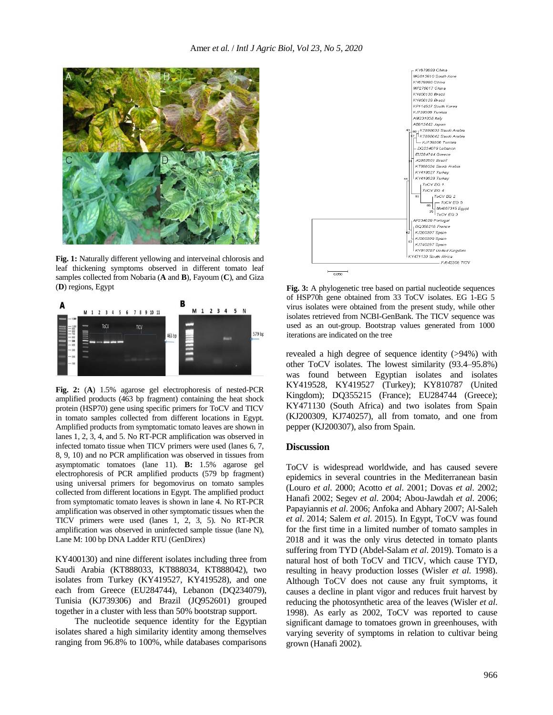

**Fig. 1:** Naturally different yellowing and interveinal chlorosis and leaf thickening symptoms observed in different tomato leaf samples collected from Nobaria (**A** and **B**), Fayoum (**C**), and Giza (**D**) regions, Egypt



**Fig. 2:** (**A**) 1.5% agarose gel electrophoresis of nested-PCR amplified products (463 bp fragment) containing the heat shock protein (HSP70) gene using specific primers for ToCV and TICV in tomato samples collected from different locations in Egypt. Amplified products from symptomatic tomato leaves are shown in lanes 1, 2, 3, 4, and 5. No RT-PCR amplification was observed in infected tomato tissue when TICV primers were used (lanes 6, 7, 8, 9, 10) and no PCR amplification was observed in tissues from asymptomatic tomatoes (lane 11). **B:** 1.5% agarose gel electrophoresis of PCR amplified products (579 bp fragment) using universal primers for begomovirus on tomato samples collected from different locations in Egypt. The amplified product from symptomatic tomato leaves is shown in lane 4. No RT-PCR amplification was observed in other symptomatic tissues when the TICV primers were used (lanes 1, 2, 3, 5). No RT-PCR amplification was observed in uninfected sample tissue (lane N), Lane M: 100 bp DNA Ladder RTU (GenDirex)

KY400130) and nine different isolates including three from Saudi Arabia (KT888033, KT888034, KT888042), two isolates from Turkey (KY419527, KY419528), and one each from Greece (EU284744), Lebanon (DQ234079), Tunisia (KJ739306) and Brazil (JQ952601) grouped together in a cluster with less than 50% bootstrap support.

The nucleotide sequence identity for the Egyptian isolates shared a high similarity identity among themselves ranging from 96.8% to 100%, while databases comparisons



**Fig. 3:** A phylogenetic tree based on partial nucleotide sequences of HSP70h gene obtained from 33 ToCV isolates. EG 1-EG 5 virus isolates were obtained from the present study, while other isolates retrieved from NCBI-GenBank. The TICV sequence was used as an out-group. Bootstrap values generated from 1000 iterations are indicated on the tree

revealed a high degree of sequence identity (>94%) with other ToCV isolates. The lowest similarity (93.4–95.8%) was found between Egyptian isolates and isolates KY419528, KY419527 (Turkey); KY810787 (United Kingdom); DQ355215 (France); EU284744 (Greece); KY471130 (South Africa) and two isolates from Spain (KJ200309, KJ740257), all from tomato, and one from pepper (KJ200307), also from Spain.

## **Discussion**

ToCV is widespread worldwide, and has caused severe epidemics in several countries in the Mediterranean basin (Louro *et al*. 2000; Acotto *et al*. 2001; Dovas *et al*. 2002; Hanafi 2002; Segev *et al*. 2004; Abou-Jawdah *et al*. 2006; Papayiannis *et al*. 2006; Anfoka and Abhary 2007; Al-Saleh *et al*. 2014; Salem *et al*. 2015). In Egypt, ToCV was found for the first time in a limited number of tomato samples in 2018 and it was the only virus detected in tomato plants suffering from TYD (Abdel-Salam *et al*. 2019). Tomato is a natural host of both ToCV and TICV, which cause TYD, resulting in heavy production losses (Wisler *et al*. 1998). Although ToCV does not cause any fruit symptoms, it causes a decline in plant vigor and reduces fruit harvest by reducing the photosynthetic area of the leaves (Wisler *et al*. 1998). As early as 2002, ToCV was reported to cause significant damage to tomatoes grown in greenhouses, with varying severity of symptoms in relation to cultivar being grown (Hanafi 2002).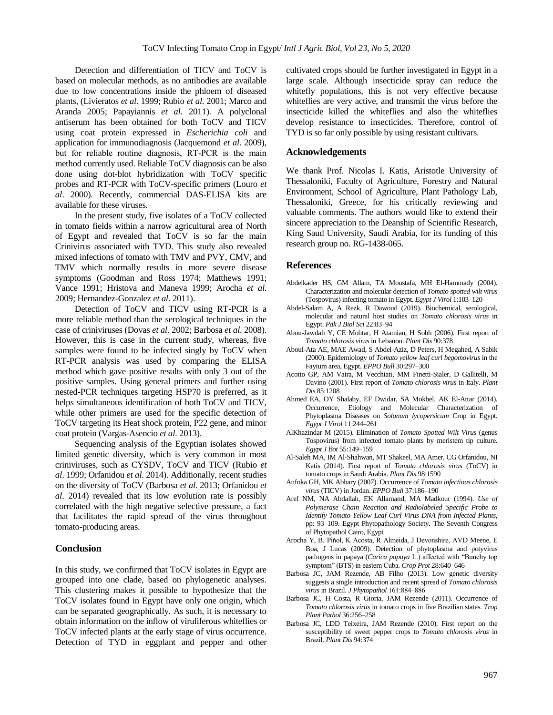Detection and differentiation of TICV and ToCV is based on molecular methods, as no antibodies are available due to low concentrations inside the phloem of diseased plants, (Livieratos *et al*. 1999; Rubio *et al*. 2001; Marco and Aranda 2005; Papayiannis *et al*. 2011). A polyclonal antiserum has been obtained for both ToCV and TICV using coat protein expressed in *Escherichia coli* and application for immunodiagnosis (Jacquemond *et al*. 2009), but for reliable routine diagnosis, RT‐PCR is the main method currently used. Reliable ToCV diagnosis can be also done using dot-blot hybridization with ToCV specific probes and RT-PCR with ToCV-specific primers (Louro *et al*. 2000). Recently, commercial DAS-ELISA kits are available for these viruses.

In the present study, five isolates of a ToCV collected in tomato fields within a narrow agricultural area of North of Egypt and revealed that ToCV is so far the main Crinivirus associated with TYD. This study also revealed mixed infections of tomato with TMV and PVY, CMV, and TMV which normally results in more severe disease symptoms (Goodman and Ross 1974; Matthews 1991; Vance 1991; Hristova and Maneva 1999; Arocha *et al*. 2009; Hernandez-Gonzalez *et al*. 2011).

Detection of ToCV and TICV using RT-PCR is a more reliable method than the serological techniques in the case of criniviruses (Dovas *et al*. 2002; Barbosa *et al*. 2008). However, this is case in the current study, whereas, five samples were found to be infected singly by ToCV when RT-PCR analysis was used by comparing the ELISA method which gave positive results with only 3 out of the positive samples. Using general primers and further using nested-PCR techniques targeting HSP70 is preferred, as it helps simultaneous identification of both ToCV and TICV, while other primers are used for the specific detection of ToCV targeting its Heat shock protein, P22 gene, and minor coat protein (Vargas-Asencio *et al*. 2013).

Sequencing analysis of the Egyptian isolates showed limited genetic diversity, which is very common in most criniviruses, such as CYSDV, ToCV and TICV (Rubio *et al*. 1999; Orfanidou *et al*. 2014). Additionally, recent studies on the diversity of ToCV (Barbosa *et al*. 2013; Orfanidou *et al*. 2014) revealed that its low evolution rate is possibly correlated with the high negative selective pressure, a fact that facilitates the rapid spread of the virus throughout tomato-producing areas.

## **Conclusion**

In this study, we confirmed that ToCV isolates in Egypt are grouped into one clade, based on phylogenetic analyses. This clustering makes it possible to hypothesize that the ToCV isolates found in Egypt have only one origin, which can be separated geographically. As such, it is necessary to obtain information on the inflow of viruliferous whiteflies or ToCV infected plants at the early stage of virus occurrence. Detection of TYD in eggplant and pepper and other cultivated crops should be further investigated in Egypt in a large scale. Although insecticide spray can reduce the whitefly populations, this is not very effective because whiteflies are very active, and transmit the virus before the insecticide killed the whiteflies and also the whiteflies develop resistance to insecticides. Therefore, control of TYD is so far only possible by using resistant cultivars.

#### **Acknowledgements**

We thank Prof. Nicolas I. Katis, Aristotle University of Thessaloniki, Faculty of Agriculture, Forestry and Natural Environment, School of Agriculture, Plant Pathology Lab, Thessaloniki, Greece, for his critically reviewing and valuable comments. The authors would like to extend their sincere appreciation to the Deanship of Scientific Research, King Saud University, Saudi Arabia, for its funding of this research group no. RG-1438-065.

#### **References**

- Abdelkader HS, GM Allam, TA Moustafa, MH El-Hammady (2004). Characterization and molecular detection of *Tomato spotted wilt virus* (Tospovirus) infecting tomato in Egypt. *Egypt J Virol* 1:103-120
- Abdel-Salam A, A Rezk, R Dawoud (2019). Biochemical, serological, molecular and natural host studies on *Tomato chlorosis virus* in Egypt. *Pak J Biol Sci* 22:83‒94
- Abou-Jawdah Y, CE Mohtar, H Atamian, H Sobh (2006). First report of *Tomato chlorosis virus* in Lebanon. *Plant Dis* 90:378
- Aboul-Ata AE, MAE Awad, S Abdel-Aziz, D Peters, H Megahed, A Sabik (2000). Epidemiology of *Tomato yellow leaf curl begomovirus* in the Fayium area, Egypt. EPPO Bull 30:297-300
- Acotto GP, AM Vaira, M Vecchiati, MM Finetti-Sialer, D Gallitelli, M Davino (2001). First report of *Tomato chlorosis virus* in Italy. *Plant Dis* 85:1208
- Ahmed EA, OY Shalaby, EF Dwidar, SA Mokbel, AK El-Attar (2014). Occurrence, Etiology and Molecular Characterization of Phytoplasma Diseases on *Solanum lycopersicum* Crop in Egypt. *Egypt J Virol* 11:244‒261
- AlKhazindar M (2015). Elimination of *Tomato Spotted Wilt Virus* (genus Tospovirus) from infected tomato plants by meristem tip culture. *Egypt J Bot* 55:149‒159
- Al-Saleh MA, IM Al-Shahwan, MT Shakeel, MA Amer, CG Orfanidou, NI Katis (2014). First report of *Tomato chlorosis virus* (ToCV) in tomato crops in Saudi Arabia. *Plant Dis* 98:1590
- Anfoka GH, MK Abhary (2007). Occurrence of *Tomato infectious chlorosis virus* (TICV) in Jordan. *EPPO Bull* 37:186‒190
- Aref NM, NA Abdallah, EK Allamand, MA Madkour (1994). *Use of Polymerase Chain Reaction and Radiolabeled Specific Probe to Identify Tomato Yellow Leaf Curl Virus DNA from Infected Plants*, pp: 93-109. Egypt Phytopathology Society. The Seventh Congress of Phytopathol Cairo, Egypt
- Arocha Y, B. Piňol, K Acosta, R Almeida, J Devonshire, AVD Meene, E Boa, J Lucas (2009). Detection of phytoplasma and potyvirus pathogens in papaya (*Carica papaya* L.) affected with "Bunchy top symptom" (BTS) in eastern Cuba. *Crop Prot* 28:640-646
- Barbosa JC, JAM Rezende, AB Filho (2013). Low genetic diversity suggests a single introduction and recent spread of *Tomato chlorosis virus* in Brazil. *J Phytopathol* 161:884‒886
- Barbosa JC, H Costa, R Gioria, JAM Rezende (2011). Occurrence of *Tomato chlorosis virus* in tomato crops in five Brazilian states. *Trop Plant Pathol* 36:256‒258
- Barbosa JC, LDD Teixeira, JAM Rezende (2010). First report on the susceptibility of sweet pepper crops to *Tomato chlorosis virus* in Brazil. *Plant Dis* 94:374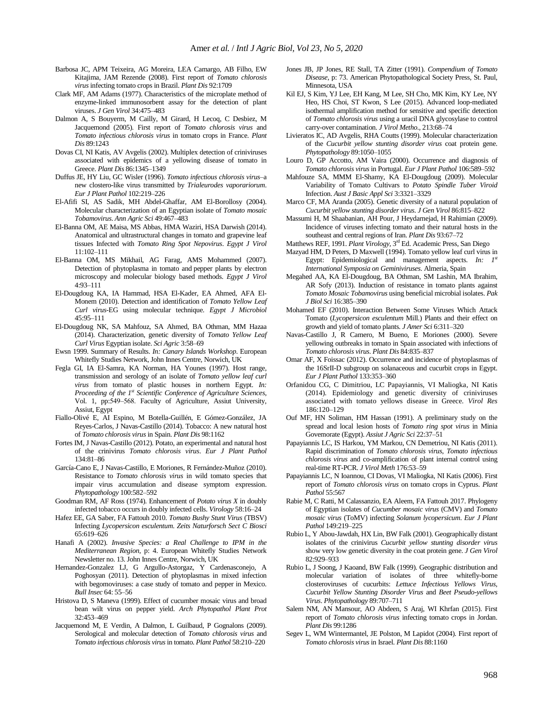- Barbosa JC, APM Teixeira, AG Moreira, LEA Camargo, AB Filho, EW Kitajima, JAM Rezende (2008). First report of *Tomato chlorosis virus* infecting tomato crops in Brazil. *Plant Dis* 92:1709
- Clark MF, AM Adams (1977). Characteristics of the microplate method of enzyme-linked immunosorbent assay for the detection of plant viruses. *J Gen Virol* 34:475‒483
- Dalmon A, S Bouyerm, M Cailly, M Girard, H Lecoq, C Desbiez, M Jacquemond (2005). First report of *Tomato chlorosis virus* and *Tomato infectious chlorosis virus* in tomato crops in France. *Plant Dis* 89:1243
- Dovas CI, NI Katis, AV Avgelis (2002). Multiplex detection of criniviruses associated with epidemics of a yellowing disease of tomato in Greece. *Plant Dis* 86:1345-1349
- Duffus JE, HY Liu, GC Wisler (1996). *Tomato infectious chlorosis virus*–a new clostero-like virus transmitted by *Trialeurodes vaporariorum*. *Eur J Plant Pathol* 102:219‒226
- El-Afifi SI, AS Sadik, MH Abdel-Ghaffar, AM El-Borollosy (2004). Molecular characterization of an Egyptian isolate of *Tomato mosaic Tobamovirus*. *Ann Agric Sci* 49:467‒483
- El-Banna OM, AE Maisa, MS Abbas, HMA Waziri, HSA Darwish (2014). Anatomical and ultrastructural changes in tomato and grapevine leaf tissues Infected with *Tomato Ring Spot Nepovirus*. *Egypt J Virol* 11:102‒111
- El-Banna OM, MS Mikhail, AG Farag, AMS Mohammed (2007). Detection of phytoplasma in tomato and pepper plants by electron microscopy and molecular biology based methods. *Egypt J Virol* 4:93‒111
- El-Dougdoug KA, IA Hammad, HSA El-Kader, EA Ahmed, AFA El-Monem (2010). Detection and identification of *Tomato Yellow Leaf Curl virus*-EG using molecular technique. *Egypt J Microbiol* 45:95‒111
- El-Dougdoug NK, SA Mahfouz, SA Ahmed, BA Othman, MM Hazaa (2014). Characterization, genetic diversity of *Tomato Yellow Leaf Curl Virus* Egyptian isolate. *Sci Agric* 3:58‒69
- Ewsn 1999. Summary of Results. *In: Canary Islands Workshop*. European Whitefly Studies Network, John Innes Centre, Norwich, UK
- Fegla GI, IA El-Samra, KA Norman, HA Younes (1997). Host range, transmission and serology of an isolate of *Tomato yellow leaf curl virus* from tomato of plastic houses in northern Egypt. *In: Proceeding of the 1st Scientific Conference of Agriculture Sciences*, Vol. 1, pp:549-568. Faculty of Agriculture, Assiut University, Assiut, Egypt
- Fiallo-Olivé E, AI Espino, M Botella-Guillén, E Gómez-González, JA Reyes-Carlos, J Navas-Castillo (2014). Tobacco: A new natural host of *Tomato chlorosis virus* in Spain. *Plant Dis* 98:1162
- Fortes IM, J Navas-Castillo (2012). Potato, an experimental and natural host of the crinivirus *Tomato chlorosis virus*. *Eur J Plant Pathol* 134:81‒86
- García-Cano E, J Navas-Castillo, E Moriones, R Fernández-Muñoz (2010). Resistance to *Tomato chlorosis virus* in wild tomato species that impair virus accumulation and disease symptom expression. *Phytopathology* 100:582‒592
- Goodman RM, AF Ross (1974). Enhancement of *Potato virus X* in doubly infected tobacco occurs in doubly infected cells. *Virology* 58:16‒24
- Hafez EE, GA Saber, FA Fattouh 2010. *Tomato Bushy Stunt Virus* (TBSV) Infecting *Lycopersicon esculentum*. *Zeits Naturforsch Sect C Biosci*  65:619‒626
- Hanafi A (2002). *Invasive Species: a Real Challenge to IPM in the Mediterranean Region*, p: 4. European Whitefly Studies Network Newsletter no. 13. John Innes Centre, Norwich, UK
- Hernandez-Gonzalez LJ, G Argullo-Astorgaz, Y Cardenasconejo, A Poghosyan (2011). Detection of phytoplasmas in mixed infection with begomoviruses: a case study of tomato and pepper in Mexico. *Bull Insec* 64: 55‒56
- Hristova D, S Maneva (1999). Effect of cucumber mosaic virus and broad bean wilt virus on pepper yield. *Arch Phytopathol Plant Prot* 32:453‒469
- Jacquemond M, E Verdin, A Dalmon, L Guilbaud, P Gognalons (2009). Serological and molecular detection of *Tomato chlorosis virus* and *Tomato infectious chlorosis virus*in tomato. *Plant Pathol* 58:210‒220
- Jones JB, JP Jones, RE Stall, TA Zitter (1991). *Compendium of Tomato Disease*, p: 73. American Phytopathological Society Press, St. Paul, Minnesota, USA
- Kil EJ, S Kim, YJ Lee, EH Kang, M Lee, SH Cho, MK Kim, KY Lee, NY Heo, HS Choi, ST Kwon, S Lee (2015). Advanced loop-mediated isothermal amplification method for sensitive and specific detection of *Tomato chlorosis virus* using a uracil DNA glycosylase to control carry-over contamination. *J Virol Metho.*, 213:68-74
- Livieratos IC, AD Avgelis, RHA Coutts (1999). Molecular characterization of the *Cucurbit yellow stunting disorder virus* coat protein gene. *Phytopathology* 89:1050‒1055
- Louro D, GP Accotto, AM Vaira (2000). Occurrence and diagnosis of *Tomato chlorosis virus* in Portugal. *Eur J Plant Pathol* 106:589‒592
- Mahfouze SA, MMM El-Shamy, KA El-Dougdoug (2009). Molecular Variability of Tomato Cultivars to *Potato Spindle Tuber Viroid*  Infection. Aust J Basic Appl Sci 3:3321-3329
- Marco CF, MA Aranda (2005). Genetic diversity of a natural population of *Cucurbit yellow stunting disorder virus*. *J Gen Virol* 86:815‒822
- Massumi H, M Shaabanian, AH Pour, J Heydarnejad, H Rahimian (2009). Incidence of viruses infecting tomato and their natural hosts in the southeast and central regions of Iran. *Plant Dis* 93:67-72
- Matthews REF, 1991. *Plant Virology*, 3<sup>rd</sup> Ed. Academic Press, San Diego
- Mazyad HM, D Peters, D Maxwell (1994). Tomato yellow leaf curl virus in Egypt: Epidemiological and management aspects. *In:*  $I^s$ *International Symposia on Geminiviruses*. Almeria, Spain
- Megahed AA, KA El-Dougdoug, BA Othman, SM Lashin, MA Ibrahim, AR Sofy (2013). Induction of resistance in tomato plants against *Tomato Mosaic Tobamovirus* using beneficial microbial isolates. *Pak J Biol Sci* 16:385‒390
- Mohamed EF (2010). Interaction Between Some Viruses Which Attack Tomato (*Lycopersicon esculentum* Mill.) Plants and their effect on growth and yield of tomato plants. *J Amer Sci* 6:311‒320
- Navas-Castillo J, R Camero, M Bueno, E Moriones (2000). Severe yellowing outbreaks in tomato in Spain associated with infections of *Tomato chlorosis virus*. *Plant Dis* 84:835‒837
- Omar AF, X Foissac (2012). Occurrence and incidence of phytoplasmas of the 16SrII-D subgroup on solanaceous and cucurbit crops in Egypt. *Eur J Plant Pathol* 133:353‒360
- Orfanidou CG, C Dimitriou, LC Papayiannis, VI Maliogka, NI Katis (2014). Epidemiology and genetic diversity of criniviruses associated with tomato yellows disease in Greece. *Virol Res* 186:120‒129
- Ouf MF, HN Soliman, HM Hassan (1991). A preliminary study on the spread and local lesion hosts of *Tomato ring spot virus* in Minia Govemorate (Egypt). *Assiut J Agric Sci* 22:37‒51
- Papayiannis LC, IS Harkou, YM Markou, CN Demetriou, NI Katis (2011). Rapid discrimination of *Tomato chlorosis virus*, *Tomato infectious chlorosis virus* and co-amplification of plant internal control using real-time RT-PCR. *J Virol Meth* 176:53‒59
- Papayiannis LC, N Ioannou, CI Dovas, VI Maliogka, NI Katis (2006). First report of *Tomato chlorosis virus* on tomato crops in Cyprus. *Plant Pathol* 55:567
- Rabie M, C Ratti, M Calassanzio, EA Aleem, FA Fattouh 2017. Phylogeny of Egyptian isolates of *Cucumber mosaic virus* (CMV) and *Tomato mosaic virus* (ToMV) infecting *Solanum lycopersicum*. *Eur J Plant Pathol* 149:219‒225
- Rubio L, Y Abou-Jawdah, HX Lin, BW Falk (2001). Geographically distant isolates of the crinivirus *Cucurbit yellow stunting disorder virus*  show very low genetic diversity in the coat protein gene. *J Gen Virol* 82:929‒933
- Rubio L, J Soong, J Kaoand, BW Falk (1999). Geographic distribution and molecular variation of isolates of three whitefly-borne closteroviruses of cucurbits: *Lettuce Infectious Yellows Virus*, *Cucurbit Yellow Stunting Disorder Virus* and *Beet Pseudo-yellows Virus*. *Phytopathology* 89:707‒711
- Salem NM, AN Mansour, AO Abdeen, S Araj, WI Khrfan (2015). First report of *Tomato chlorosis virus* infecting tomato crops in Jordan. *Plant Dis* 99:1286
- Segev L, WM Wintermantel, JE Polston, M Lapidot (2004). First report of *Tomato chlorosis virus* in Israel. *Plant Dis* 88:1160